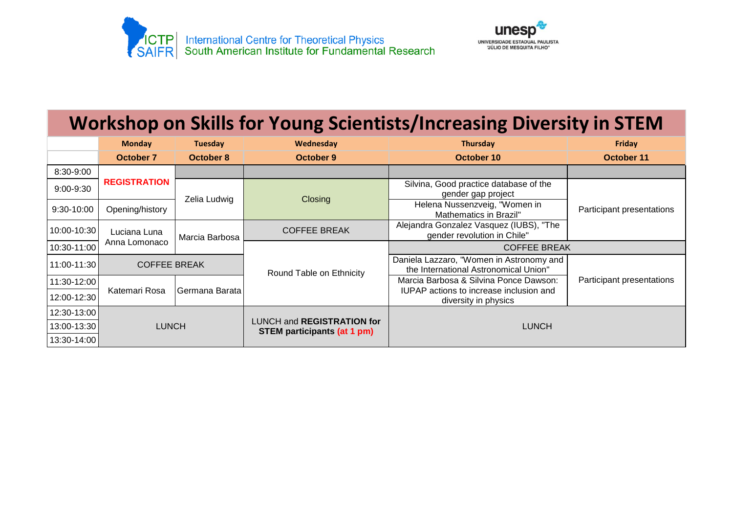



## **Workshop on Skills for Young Scientists/Increasing Diversity in STEM**

|               | <b>Monday</b>                          | <b>Tuesday</b> | Wednesday                                                               | <b>Thursday</b>                                                                   | Friday                    |
|---------------|----------------------------------------|----------------|-------------------------------------------------------------------------|-----------------------------------------------------------------------------------|---------------------------|
|               | <b>October 7</b>                       | October 8      | October 9                                                               | October 10                                                                        | October 11                |
| 8:30-9:00     | <b>REGISTRATION</b><br>Opening/history |                |                                                                         |                                                                                   |                           |
| $9:00 - 9:30$ |                                        | Zelia Ludwig   | Closing                                                                 | Silvina, Good practice database of the<br>gender gap project                      | Participant presentations |
| $9:30-10:00$  |                                        |                |                                                                         | Helena Nussenzveig, "Women in<br>Mathematics in Brazil"                           |                           |
| 10:00-10:30   | Luciana Luna                           | Marcia Barbosa | <b>COFFEE BREAK</b>                                                     | Alejandra Gonzalez Vasquez (IUBS), "The<br>gender revolution in Chile"            |                           |
| 10:30-11:00   | Anna Lomonaco                          |                |                                                                         | <b>COFFEE BREAK</b>                                                               |                           |
| 11:00-11:30   | <b>COFFEE BREAK</b>                    |                | Round Table on Ethnicity                                                | Daniela Lazzaro, "Women in Astronomy and<br>the International Astronomical Union" |                           |
| 11:30-12:00   | Katemari Rosa                          | Germana Barata |                                                                         | Marcia Barbosa & Silvina Ponce Dawson:                                            | Participant presentations |
| 12:00-12:30   |                                        |                |                                                                         | <b>IUPAP</b> actions to increase inclusion and<br>diversity in physics            |                           |
| 12:30-13:00   | <b>LUNCH</b>                           |                | <b>LUNCH and REGISTRATION for</b><br><b>STEM participants (at 1 pm)</b> | <b>LUNCH</b>                                                                      |                           |
| 13:00-13:30   |                                        |                |                                                                         |                                                                                   |                           |
| 13:30-14:00   |                                        |                |                                                                         |                                                                                   |                           |